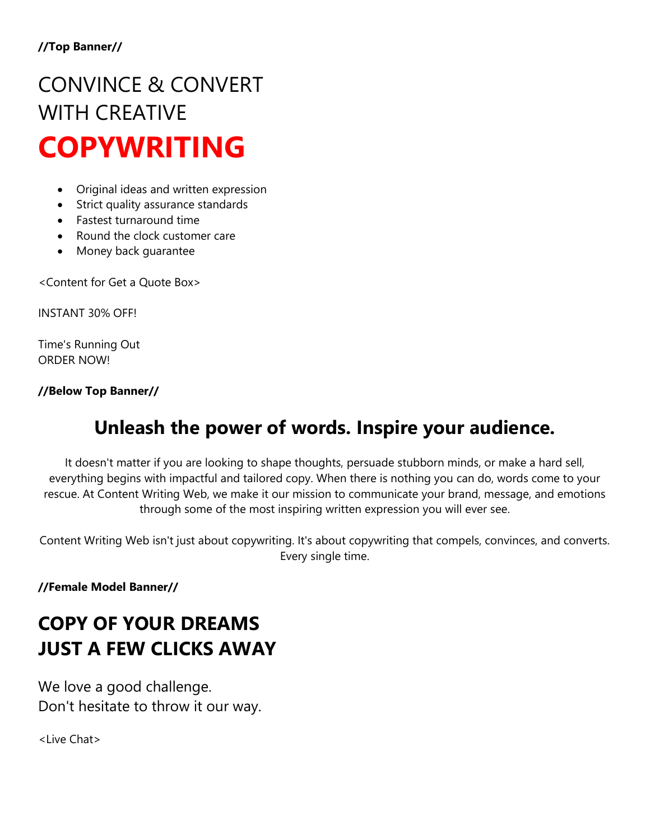# CONVINCE & CONVERT WITH CREATIVE **COPYWRITING**

- Original ideas and written expression
- Strict quality assurance standards
- Fastest turnaround time
- Round the clock customer care
- Money back guarantee

<Content for Get a Quote Box>

INSTANT 30% OFF!

Time's Running Out ORDER NOW!

**//Below Top Banner//**

## **Unleash the power of words. Inspire your audience.**

It doesn't matter if you are looking to shape thoughts, persuade stubborn minds, or make a hard sell, everything begins with impactful and tailored copy. When there is nothing you can do, words come to your rescue. At Content Writing Web, we make it our mission to communicate your brand, message, and emotions through some of the most inspiring written expression you will ever see.

Content Writing Web isn't just about copywriting. It's about copywriting that compels, convinces, and converts. Every single time.

**//Female Model Banner//**

# **COPY OF YOUR DREAMS JUST A FEW CLICKS AWAY**

We love a good challenge. Don't hesitate to throw it our way.

<Live Chat>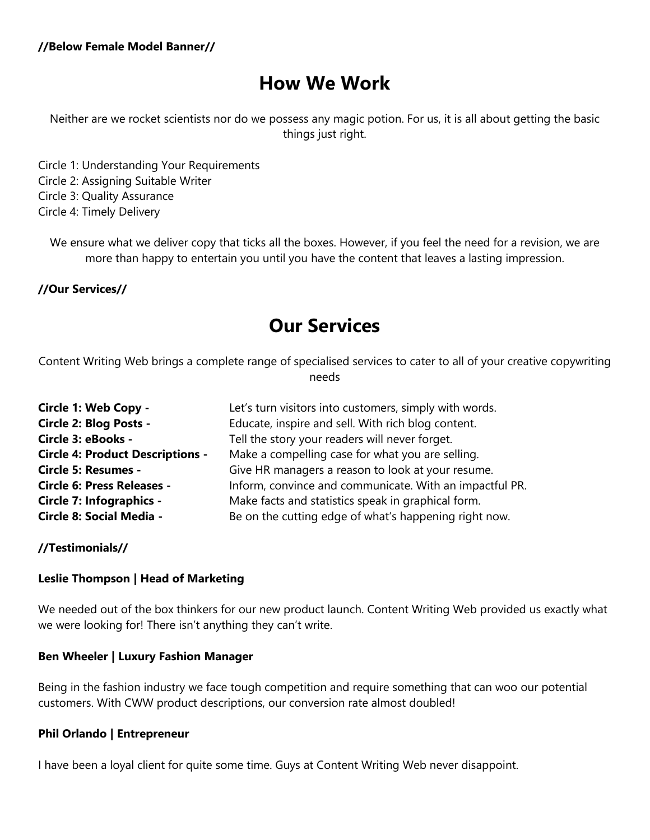### **How We Work**

Neither are we rocket scientists nor do we possess any magic potion. For us, it is all about getting the basic things just right.

Circle 1: Understanding Your Requirements Circle 2: Assigning Suitable Writer Circle 3: Quality Assurance Circle 4: Timely Delivery

We ensure what we deliver copy that ticks all the boxes. However, if you feel the need for a revision, we are more than happy to entertain you until you have the content that leaves a lasting impression.

**//Our Services//**

### **Our Services**

Content Writing Web brings a complete range of specialised services to cater to all of your creative copywriting needs

| Circle 1: Web Copy -                    | Let's turn visitors into customers, simply with words.  |
|-----------------------------------------|---------------------------------------------------------|
| Circle 2: Blog Posts -                  | Educate, inspire and sell. With rich blog content.      |
| Circle 3: eBooks -                      | Tell the story your readers will never forget.          |
| <b>Circle 4: Product Descriptions -</b> | Make a compelling case for what you are selling.        |
| <b>Circle 5: Resumes -</b>              | Give HR managers a reason to look at your resume.       |
| <b>Circle 6: Press Releases -</b>       | Inform, convince and communicate. With an impactful PR. |
| Circle 7: Infographics -                | Make facts and statistics speak in graphical form.      |
| Circle 8: Social Media -                | Be on the cutting edge of what's happening right now.   |

**//Testimonials//**

#### **Leslie Thompson | Head of Marketing**

We needed out of the box thinkers for our new product launch. Content Writing Web provided us exactly what we were looking for! There isn't anything they can't write.

#### **Ben Wheeler | Luxury Fashion Manager**

Being in the fashion industry we face tough competition and require something that can woo our potential customers. With CWW product descriptions, our conversion rate almost doubled!

#### **Phil Orlando | Entrepreneur**

I have been a loyal client for quite some time. Guys at Content Writing Web never disappoint.